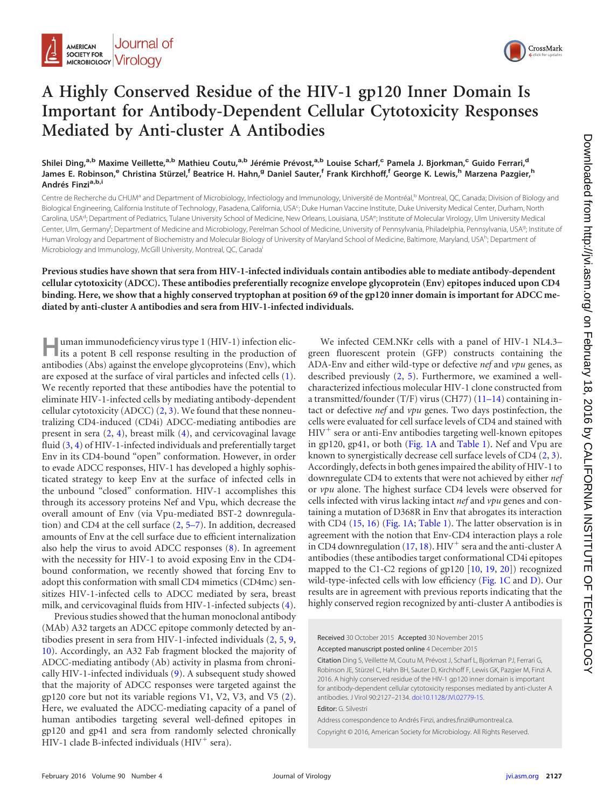

## **A Highly Conserved Residue of the HIV-1 gp120 Inner Domain Is Important for Antibody-Dependent Cellular Cytotoxicity Responses Mediated by Anti-cluster A Antibodies**

Shilei Ding,<sup>a,b</sup> Maxime Veillette,<sup>a,b</sup> Mathieu Coutu,<sup>a,b</sup> Jérémie Prévost,<sup>a,b</sup> Louise Scharf,<sup>c</sup> Pamela J. Bjorkman,<sup>c</sup> Guido Ferrari,<sup>d</sup> James E. Robinson,<sup>e</sup> Christina Stürzel,<sup>f</sup> Beatrice H. Hahn,<sup>g</sup> Daniel Sauter,<sup>f</sup> Frank Kirchhoff,<sup>f</sup> George K. Lewis,<sup>h</sup> Marzena Pazgier,<sup>h</sup> **Andrés Finzia,b,i**

Centre de Recherche du CHUM<sup>a</sup> and Department of Microbiology, Infectiology and Immunology, Université de Montréal,<sup>b</sup> Montreal, QC, Canada; Division of Biology and Biological Engineering, California Institute of Technology, Pasadena, California, USA<sup>c</sup>; Duke Human Vaccine Institute, Duke University Medical Center, Durham, North Carolina, USA<sup>d</sup>; Department of Pediatrics, Tulane University School of Medicine, New Orleans, Louisiana, USA<sup>e</sup>; Institute of Molecular Virology, Ulm University Medical Center, Ulm, Germany<sup>r</sup>; Department of Medicine and Microbiology, Perelman School of Medicine, University of Pennsylvania, Philadelphia, Pennsylvania, USA<sup>9</sup>; Institute of Human Virology and Department of Biochemistry and Molecular Biology of University of Maryland School of Medicine, Baltimore, Maryland, USA<sup>h</sup>; Department of Microbiology and Immunology, McGill University, Montreal, QC, Canada<sup>i</sup>

**Previous studies have shown that sera from HIV-1-infected individuals contain antibodies able to mediate antibody-dependent cellular cytotoxicity (ADCC). These antibodies preferentially recognize envelope glycoprotein (Env) epitopes induced upon CD4 binding. Here, we show that a highly conserved tryptophan at position 69 of the gp120 inner domain is important for ADCC mediated by anti-cluster A antibodies and sera from HIV-1-infected individuals.**

**Human immunodeficiency virus type 1 (HIV-1) infection elic-**<br>its a potent B cell response resulting in the production of antibodies (Abs) against the envelope glycoproteins (Env), which are exposed at the surface of viral particles and infected cells [\(1\)](#page-6-0). We recently reported that these antibodies have the potential to eliminate HIV-1-infected cells by mediating antibody-dependent cellular cytotoxicity (ADCC)  $(2, 3)$  $(2, 3)$  $(2, 3)$ . We found that these nonneutralizing CD4-induced (CD4i) ADCC-mediating antibodies are present in sera [\(2,](#page-6-1) [4\)](#page-6-3), breast milk [\(4\)](#page-6-3), and cervicovaginal lavage fluid [\(3,](#page-6-2) [4\)](#page-6-3) of HIV-1-infected individuals and preferentially target Env in its CD4-bound "open" conformation. However, in order to evade ADCC responses, HIV-1 has developed a highly sophisticated strategy to keep Env at the surface of infected cells in the unbound "closed" conformation. HIV-1 accomplishes this through its accessory proteins Nef and Vpu, which decrease the overall amount of Env (via Vpu-mediated BST-2 downregulation) and CD4 at the cell surface [\(2,](#page-6-1) [5](#page-6-4)[–](#page-6-5)[7\)](#page-6-6). In addition, decreased amounts of Env at the cell surface due to efficient internalization also help the virus to avoid ADCC responses [\(8\)](#page-6-7). In agreement with the necessity for HIV-1 to avoid exposing Env in the CD4 bound conformation, we recently showed that forcing Env to adopt this conformation with small CD4 mimetics (CD4mc) sensitizes HIV-1-infected cells to ADCC mediated by sera, breast milk, and cervicovaginal fluids from HIV-1-infected subjects [\(4\)](#page-6-3).

Previous studies showed that the human monoclonal antibody (MAb) A32 targets an ADCC epitope commonly detected by antibodies present in sera from HIV-1-infected individuals [\(2,](#page-6-1) [5,](#page-6-4) [9,](#page-6-8) [10\)](#page-6-9). Accordingly, an A32 Fab fragment blocked the majority of ADCC-mediating antibody (Ab) activity in plasma from chronically HIV-1-infected individuals [\(9\)](#page-6-8). A subsequent study showed that the majority of ADCC responses were targeted against the gp120 core but not its variable regions  $V1$ ,  $V2$ ,  $V3$ , and  $V5$   $(2)$ . Here, we evaluated the ADCC-mediating capacity of a panel of human antibodies targeting several well-defined epitopes in gp120 and gp41 and sera from randomly selected chronically HIV-1 clade B-infected individuals (HIV- sera).

We infected CEM.NKr cells with a panel of HIV-1 NL4.3– green fluorescent protein (GFP) constructs containing the ADA-Env and either wild-type or defective *nef* and *vpu* genes, as described previously [\(2,](#page-6-1) [5\)](#page-6-4). Furthermore, we examined a wellcharacterized infectious molecular HIV-1 clone constructed from a transmitted/founder (T/F) virus (CH77) [\(11](#page-6-10)[–](#page-6-11)[14\)](#page-6-12) containing intact or defective *nef* and *vpu* genes. Two days postinfection, the cells were evaluated for cell surface levels of CD4 and stained with HIV- sera or anti-Env antibodies targeting well-known epitopes in gp120, gp41, or both [\(Fig. 1A](#page-1-0) and [Table 1\)](#page-2-0). Nef and Vpu are known to synergistically decrease cell surface levels of CD4 [\(2,](#page-6-1) [3\)](#page-6-2). Accordingly, defects in both genes impaired the ability of HIV-1 to downregulate CD4 to extents that were not achieved by either *nef* or *vpu* alone. The highest surface CD4 levels were observed for cells infected with virus lacking intact *nef* and *vpu* genes and containing a mutation of D368R in Env that abrogates its interaction with CD4 [\(15,](#page-6-13) [16\)](#page-6-14) [\(Fig. 1A;](#page-1-0) [Table 1\)](#page-2-0). The latter observation is in agreement with the notion that Env-CD4 interaction plays a role in CD4 downregulation [\(17,](#page-7-0) [18\)](#page-7-1).  $HIV^{+}$  sera and the anti-cluster A antibodies (these antibodies target conformational CD4i epitopes mapped to the C1-C2 regions of gp120 [\[10,](#page-6-9) [19,](#page-7-2) [20\]](#page-7-3)) recognized wild-type-infected cells with low efficiency [\(Fig. 1C](#page-1-0) and [D\)](#page-1-0). Our results are in agreement with previous reports indicating that the highly conserved region recognized by anti-cluster A antibodies is

Received 30 October 2015 Accepted 30 November 2015

Accepted manuscript posted online 4 December 2015

Citation Ding S, Veillette M, Coutu M, Prévost J, Scharf L, Bjorkman PJ, Ferrari G, Robinson JE, Stürzel C, Hahn BH, Sauter D, Kirchhoff F, Lewis GK, Pazgier M, Finzi A. 2016. A highly conserved residue of the HIV-1 gp120 inner domain is important for antibody-dependent cellular cytotoxicity responses mediated by anti-cluster A antibodies. J Virol 90:2127–2134. [doi:10.1128/JVI.02779-15.](http://dx.doi.org/10.1128/JVI.02779-15) Editor: G. Silvestri

Address correspondence to Andrés Finzi, andres.finzi@umontreal.ca. Copyright © 2016, American Society for Microbiology. All Rights Reserved.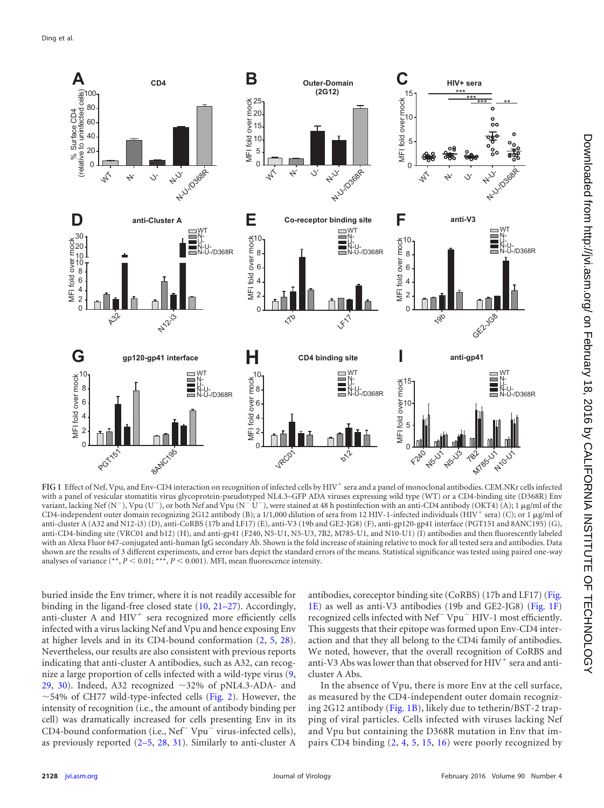

<span id="page-1-0"></span>FIG 1 Effect of Nef, Vpu, and Env-CD4 interaction on recognition of infected cells by HIV<sup>+</sup> sera and a panel of monoclonal antibodies. CEM.NKr cells infected with a panel of vesicular stomatitis virus glycoprotein-pseudotyped NL4.3–GFP ADA viruses expressing wild type (WT) or a CD4-binding site (D368R) Env variant, lacking Nef (N<sup>-</sup>), Vpu (U<sup>-</sup>), or both Nef and Vpu (N<sup>-</sup> U<sup>-</sup>), were stained at 48 h postinfection with an anti-CD4 antibody (OKT4) (A); 1 µg/ml of the CD4-independent outer domain recognizing 2G12 antibody (B); a 1/1,000 dilution of sera from 12 HIV-1-infected individuals (HIV<sup>+</sup> sera) (C); or 1 µg/ml of anti-cluster A (A32 and N12-i3) (D), anti-CoRBS (17b and LF17) (E), anti-V3 (19b and GE2-JG8) (F), anti-gp120-gp41 interface (PGT151 and 8ANC195) (G), anti-CD4-binding site (VRC01 and b12) (H), and anti-gp41 (F240, N5-U1, N5-U3, 7B2, M785-U1, and N10-U1) (I) antibodies and then fluorescently labeled with an Alexa Fluor 647-conjugated anti-human IgG secondary Ab. Shown is the fold increase of staining relative to mock for all tested sera and antibodies. Data shown are the results of 3 different experiments, and error bars depict the standard errors of the means. Statistical significance was tested using paired one-way analyses of variance  $(*, P < 0.01; **, P < 0.001)$ . MFI, mean fluorescence intensity.

buried inside the Env trimer, where it is not readily accessible for binding in the ligand-free closed state [\(10,](#page-6-9) [21](#page-7-4)[–](#page-7-5)[27\)](#page-7-6). Accordingly, anti-cluster A and  $HIV<sup>+</sup>$  sera recognized more efficiently cells infected with a virus lacking Nef and Vpu and hence exposing Env at higher levels and in its CD4-bound conformation [\(2,](#page-6-1) [5,](#page-6-4) [28\)](#page-7-7). Nevertheless, our results are also consistent with previous reports indicating that anti-cluster A antibodies, such as A32, can recognize a large proportion of cells infected with a wild-type virus [\(9,](#page-6-8) [29,](#page-7-8) [30\)](#page-7-9). Indeed, A32 recognized  $\sim$ 32% of pNL4.3-ADA- and  $\sim$  54% of CH77 wild-type-infected cells [\(Fig. 2\)](#page-2-1). However, the intensity of recognition (i.e., the amount of antibody binding per cell) was dramatically increased for cells presenting Env in its CD4-bound conformation (i.e.,  $Nef^- Vpu^-$  virus-infected cells), as previously reported [\(2](#page-6-1)[–](#page-6-3)[5,](#page-6-4) [28,](#page-7-7) [31\)](#page-7-10). Similarly to anti-cluster A

antibodies, coreceptor binding site (CoRBS) (17b and LF17) [\(Fig.](#page-1-0) [1E\)](#page-1-0) as well as anti-V3 antibodies (19b and GE2-JG8) [\(Fig. 1F\)](#page-1-0) recognized cells infected with Nef<sup>-</sup> Vpu<sup>-</sup> HIV-1 most efficiently. This suggests that their epitope was formed upon Env-CD4 interaction and that they all belong to the CD4i family of antibodies. We noted, however, that the overall recognition of CoRBS and anti-V3 Abs was lower than that observed for  $\mathrm{HIV}^+$  sera and anticluster A Abs.

In the absence of Vpu, there is more Env at the cell surface, as measured by the CD4-independent outer domain recognizing 2G12 antibody [\(Fig. 1B\)](#page-1-0), likely due to tetherin/BST-2 trapping of viral particles. Cells infected with viruses lacking Nef and Vpu but containing the D368R mutation in Env that impairs CD4 binding [\(2,](#page-6-1) [4,](#page-6-3) [5,](#page-6-4) [15,](#page-6-13) [16\)](#page-6-14) were poorly recognized by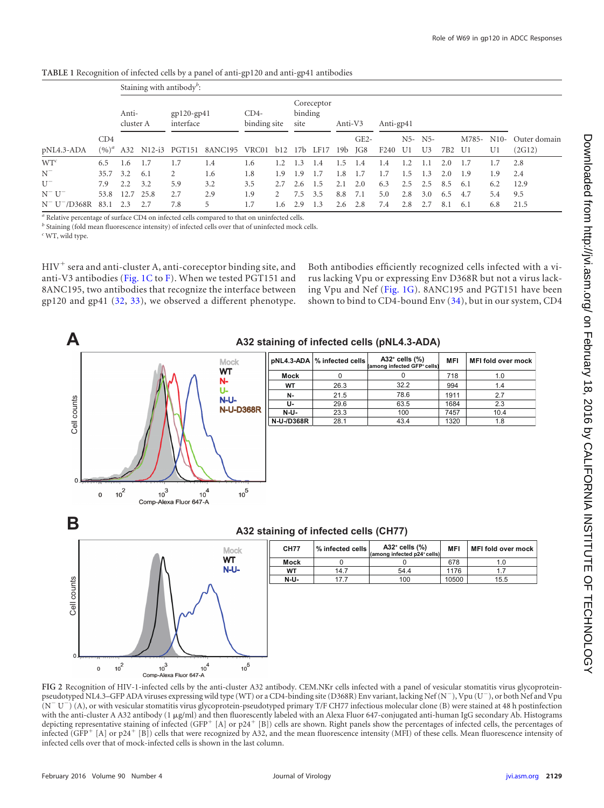|                   | CD4<br>$(9/6)^{a}$ | Staining with antibody <sup><math>b</math></sup> : |      |                           |                                |                        |             |                               |     |         |               |                  |     |                           |     |             |              |                        |
|-------------------|--------------------|----------------------------------------------------|------|---------------------------|--------------------------------|------------------------|-------------|-------------------------------|-----|---------|---------------|------------------|-----|---------------------------|-----|-------------|--------------|------------------------|
|                   |                    | Anti-<br>cluster A                                 |      | $gp120-gp41$<br>interface |                                | $CD4-$<br>binding site |             | Coreceptor<br>binding<br>site |     | Anti-V3 |               | Anti-gp41        |     |                           |     |             |              |                        |
| pNL4.3-ADA        |                    |                                                    |      | A32 N12-i3 PGT151         | 8ANC195 VRC01 b12 17b LF17 19b |                        |             |                               |     |         | $GE2-$<br>JG8 | F <sub>240</sub> | U1  | N5- N5-<br>U <sub>3</sub> | 7B2 | M785-<br>U1 | $N10-$<br>U1 | Outer domain<br>(2G12) |
| $WT^c$            | 6.5                | 1.6                                                | -1.7 | 1.7                       | 1.4                            | 1.6                    |             | $\mathcal{R}$                 | 1.4 | -5      | 1.4           | 1.4              | 1.2 |                           | 2.0 |             | 1.7          | 2.8                    |
| $N^-$             | 35.7 3.2           |                                                    | 6.1  | 2                         | 1.6                            | 1.8                    | 1.9         | 1.9                           | 1.7 | .8      | 1.7           | 1.7              | 1.5 | 1.3                       | 2.0 | 1.9         | 1.9          | 2.4                    |
| $U^-$             | 7.9                | 2.2                                                | 3.2  | 5.9                       | 3.2                            | 3.5                    | 2.7         | 2.6                           | 1.5 | 2.1     | 2.0           | 6.3              | 2.5 | 2.5                       | 8.5 | 6.1         | 6.2          | 12.9                   |
| $N^- U^-$         | 53.8               | 12.7                                               | 25.8 | 2.7                       | 2.9                            | 1.9                    | $2^{\circ}$ | 7.5                           | 3.5 | 8.8     | 7.1           | 5.0              | 2.8 | 3.0                       | 6.5 | 4.7         | 5.4          | 9.5                    |
| $N^- U^- / D368R$ | 83.1               | 2.3                                                | 2.7  | 7.8                       | 5                              | 1.7                    | 1.6         | 2.9                           | 1.3 | 2.6     | 2.8           | 7.4              | 2.8 | 2.7                       | 8.1 | 6.1         | 6.8          | 21.5                   |

<span id="page-2-0"></span>**TABLE 1** Recognition of infected cells by a panel of anti-gp120 and anti-gp41 antibodies

*<sup>a</sup>* Relative percentage of surface CD4 on infected cells compared to that on uninfected cells.

*b* Staining (fold mean fluorescence intensity) of infected cells over that of uninfected mock cells.

*<sup>c</sup>* WT, wild type.

 ${\rm HIV}^+$  sera and anti-cluster A, anti-coreceptor binding site, and anti-V3 antibodies [\(Fig. 1C](#page-1-0) to [F\)](#page-1-0). When we tested PGT151 and 8ANC195, two antibodies that recognize the interface between gp120 and gp41 [\(32,](#page-7-11) [33\)](#page-7-12), we observed a different phenotype.

 $10^{3}$ 

Comp-Alexa Fluor 647-A

 $10<sup>4</sup>$ 

 $10^5$ 

Both antibodies efficiently recognized cells infected with a virus lacking Vpu or expressing Env D368R but not a virus lacking Vpu and Nef [\(Fig. 1G\)](#page-1-0). 8ANC195 and PGT151 have been shown to bind to CD4-bound Env [\(34\)](#page-7-13), but in our system, CD4



<span id="page-2-1"></span>**FIG 2** Recognition of HIV-1-infected cells by the anti-cluster A32 antibody. CEM.NKr cells infected with a panel of vesicular stomatitis virus glycoproteinpseudotyped NL4.3–GFP ADA viruses expressing wild type (WT) or a CD4-binding site (D368R) Env variant, lacking Nef (N<sup>-</sup>), Vpu (U<sup>-</sup>), or both Nef and Vpu  $(N^-U^-)(A)$ , or with vesicular stomatitis virus glycoprotein-pseudotyped primary T/F CH77 infectious molecular clone (B) were stained at 48 h postinfection with the anti-cluster A A32 antibody (1 µg/ml) and then fluorescently labeled with an Alexa Fluor 647-conjugated anti-human IgG secondary Ab. Histograms depicting representative staining of infected (GFP<sup>+</sup> [A] or p24<sup>+</sup> [B]) cells are shown. Right panels show the percentages of infected cells, the percentages of infected (GFP<sup>+</sup> [A] or p24<sup>+</sup> [B]) cells that were recognized by A32, and the mean fluorescence intensity (MFI) of these cells. Mean fluorescence intensity of infected cells over that of mock-infected cells is shown in the last column.

 $10<sup>2</sup>$ 

 $\mathbf 0$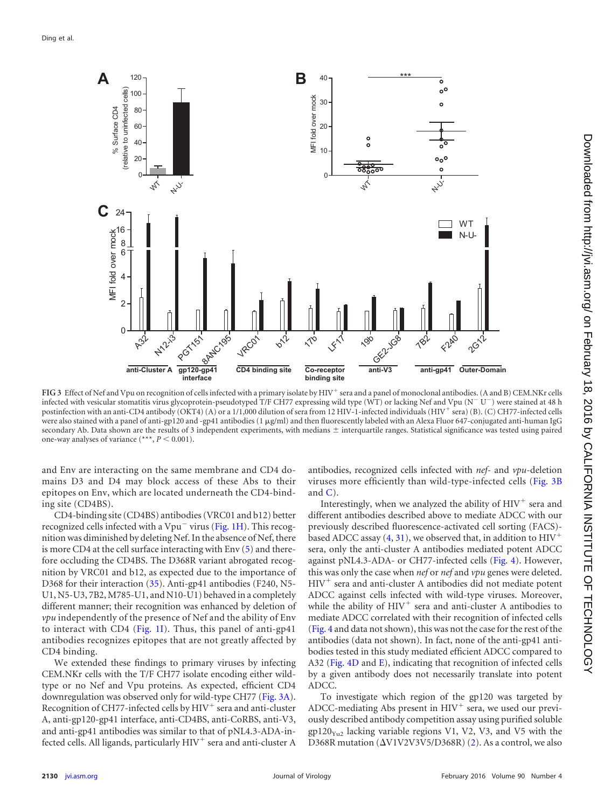

<span id="page-3-0"></span>FIG 3 Effect of Nef and Vpu on recognition of cells infected with a primary isolate by HIV<sup>+</sup> sera and a panel of monoclonal antibodies. (A and B) CEM.NKr cells infected with vesicular stomatitis virus glycoprotein-pseudotyped T/F CH77 expressing wild type (WT) or lacking Nef and Vpu (N<sup>-</sup>U<sup>-</sup>) were stained at 48 h postinfection with an anti-CD4 antibody (OKT4) (A) or a 1/1,000 dilution of sera from 12 HIV-1-infected individuals (HIV<sup>+</sup> sera) (B). (C) CH77-infected cells were also stained with a panel of anti-gp120 and -gp41 antibodies  $(1 \mu g/ml)$  and then fluorescently labeled with an Alexa Fluor 647-conjugated anti-human IgG secondary Ab. Data shown are the results of 3 independent experiments, with medians  $\pm$  interquartile ranges. Statistical significance was tested using paired one-way analyses of variance  $(***, P < 0.001)$ .

and Env are interacting on the same membrane and CD4 domains D3 and D4 may block access of these Abs to their epitopes on Env, which are located underneath the CD4-binding site (CD4BS).

CD4-binding site (CD4BS) antibodies (VRC01 and b12) better recognized cells infected with a  $Vpu^-$  virus [\(Fig. 1H\)](#page-1-0). This recognition was diminished by deleting Nef. In the absence of Nef, there is more CD4 at the cell surface interacting with Env [\(5\)](#page-6-4) and therefore occluding the CD4BS. The D368R variant abrogated recognition by VRC01 and b12, as expected due to the importance of D368 for their interaction [\(35\)](#page-7-14). Anti-gp41 antibodies (F240, N5- U1, N5-U3, 7B2, M785-U1, and N10-U1) behaved in a completely different manner; their recognition was enhanced by deletion of *vpu* independently of the presence of Nef and the ability of Env to interact with CD4 [\(Fig. 1I\)](#page-1-0). Thus, this panel of anti-gp41 antibodies recognizes epitopes that are not greatly affected by CD4 binding.

We extended these findings to primary viruses by infecting CEM.NKr cells with the T/F CH77 isolate encoding either wildtype or no Nef and Vpu proteins. As expected, efficient CD4 downregulation was observed only for wild-type CH77 [\(Fig. 3A\)](#page-3-0). Recognition of CH77-infected cells by HIV<sup>+</sup> sera and anti-cluster A, anti-gp120-gp41 interface, anti-CD4BS, anti-CoRBS, anti-V3, and anti-gp41 antibodies was similar to that of pNL4.3-ADA-infected cells. All ligands, particularly HIV<sup>+</sup> sera and anti-cluster A antibodies, recognized cells infected with *nef*- and *vpu*-deletion viruses more efficiently than wild-type-infected cells [\(Fig. 3B](#page-3-0) and  $C$ ).

Interestingly, when we analyzed the ability of  $H I V^+$  sera and different antibodies described above to mediate ADCC with our previously described fluorescence-activated cell sorting (FACS)- based ADCC assay [\(4,](#page-6-3) [31\)](#page-7-10), we observed that, in addition to  ${\rm HIV}^+$ sera, only the anti-cluster A antibodies mediated potent ADCC against pNL4.3-ADA- or CH77-infected cells [\(Fig. 4\)](#page-4-0). However, this was only the case when *nef* or *nef* and *vpu* genes were deleted. HIV- sera and anti-cluster A antibodies did not mediate potent ADCC against cells infected with wild-type viruses. Moreover, while the ability of  $HIV<sup>+</sup>$  sera and anti-cluster A antibodies to mediate ADCC correlated with their recognition of infected cells [\(Fig. 4](#page-4-0) and data not shown), this was not the case for the rest of the antibodies (data not shown). In fact, none of the anti-gp41 antibodies tested in this study mediated efficient ADCC compared to A32 [\(Fig. 4D](#page-4-0) and [E\)](#page-4-0), indicating that recognition of infected cells by a given antibody does not necessarily translate into potent ADCC.

To investigate which region of the gp120 was targeted by  $ADC$ -mediating Abs present in  $HIV<sup>+</sup>$  sera, we used our previously described antibody competition assay using purified soluble  $gp120_{\text{Y}_{12}}$  lacking variable regions V1, V2, V3, and V5 with the D368R mutation  $(\Delta V1V2V3V5/D368R)$  [\(2\)](#page-6-1). As a control, we also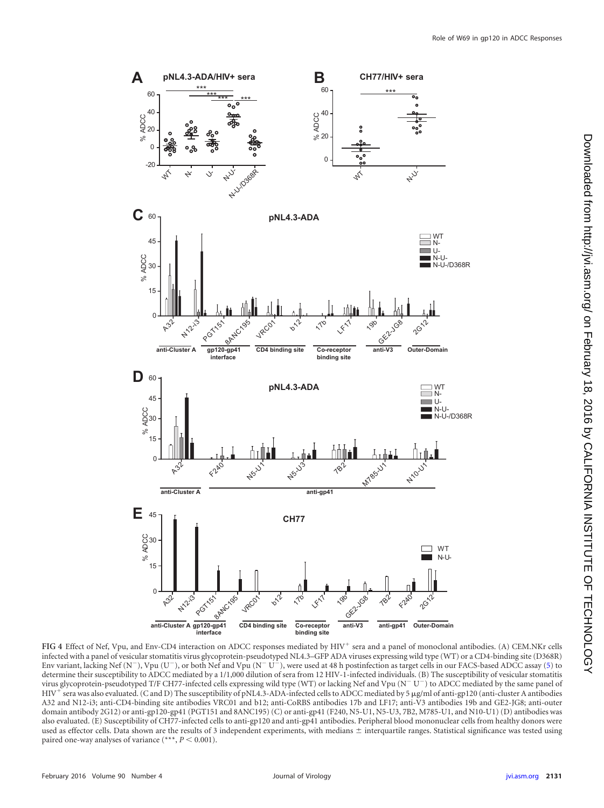

<span id="page-4-0"></span>FIG 4 Effect of Nef, Vpu, and Env-CD4 interaction on ADCC responses mediated by HIV<sup>+</sup> sera and a panel of monoclonal antibodies. (A) CEM.NKr cells infected with a panel of vesicular stomatitis virus glycoprotein-pseudotyped NL4.3–GFP ADA viruses expressing wild type (WT) or a CD4-binding site (D368R) Env variant, lacking Nef (N<sup>-</sup>), Vpu (U<sup>-</sup>), or both Nef and Vpu (N<sup>-</sup> U<sup>-</sup>), were used at 48 h postinfection as target cells in our FACS-based ADCC assay [\(5\)](#page-6-4) to determine their susceptibility to ADCC mediated by a 1/1,000 dilution of sera from 12 HIV-1-infected individuals. (B) The susceptibility of vesicular stomatitis virus glycoprotein-pseudotyped T/F CH77-infected cells expressing wild type (WT) or lacking Nef and Vpu (N<sup>-</sup>U<sup>-</sup>) to ADCC mediated by the same panel of HIV- sera was also evaluated. (C and D) The susceptibility of pNL4.3-ADA-infected cells to ADCC mediated by 5 g/ml of anti-gp120 (anti-cluster A antibodies A32 and N12-i3; anti-CD4-binding site antibodies VRC01 and b12; anti-CoRBS antibodies 17b and LF17; anti-V3 antibodies 19b and GE2-JG8; anti-outer domain antibody 2G12) or anti-gp120-gp41 (PGT151 and 8ANC195) (C) or anti-gp41 (F240, N5-U1, N5-U3, 7B2, M785-U1, and N10-U1) (D) antibodies was also evaluated. (E) Susceptibility of CH77-infected cells to anti-gp120 and anti-gp41 antibodies. Peripheral blood mononuclear cells from healthy donors were used as effector cells. Data shown are the results of 3 independent experiments, with medians  $\pm$  interquartile ranges. Statistical significance was tested using paired one-way analyses of variance  $(***$ ,  $P \le 0.001$ ).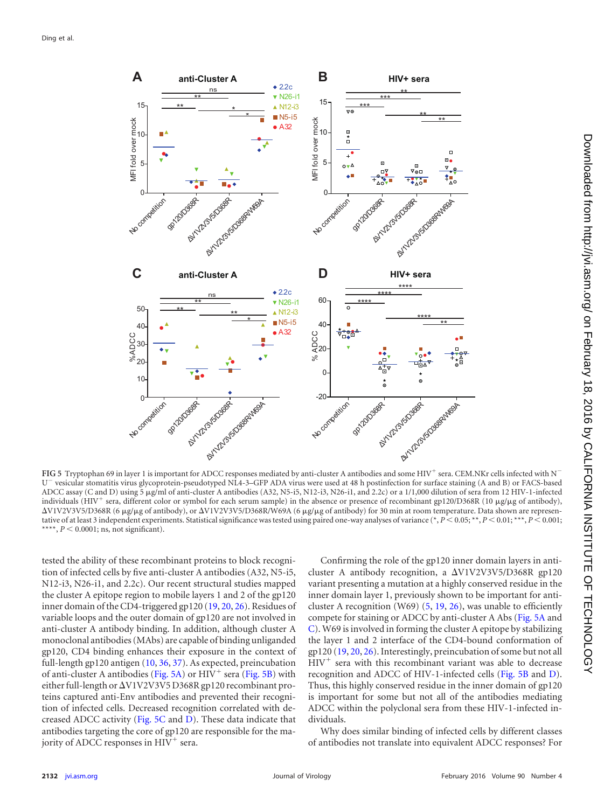

<span id="page-5-0"></span>FIG 5 Tryptophan 69 in layer 1 is important for ADCC responses mediated by anti-cluster A antibodies and some HIV<sup>+</sup> sera. CEM.NKr cells infected with N<sup>-</sup> U<sup>-</sup> vesicular stomatitis virus glycoprotein-pseudotyped NL4-3–GFP ADA virus were used at 48 h postinfection for surface staining (A and B) or FACS-based ADCC assay (C and D) using 5 g/ml of anti-cluster A antibodies (A32, N5-i5, N12-i3, N26-i1, and 2.2c) or a 1/1,000 dilution of sera from 12 HIV-1-infected individuals (HIV<sup>+</sup> sera, different color or symbol for each serum sample) in the absence or presence of recombinant gp120/D368R (10 µg/µg of antibody), ΔV1V2V3V5/D368R (6 μg/μg of antibody), or ΔV1V2V3V5/D368R/W69A (6 μg/μg of antibody) for 30 min at room temperature. Data shown are representative of at least 3 independent experiments. Statistical significance was tested using paired one-way analyses of variance (\*,  $P < 0.05$ ; \*\*,  $P < 0.01$ ; \*\*\*,  $P < 0.001$ ; \*\*\*\*,  $P < 0.0001$ ; ns, not significant).

tested the ability of these recombinant proteins to block recognition of infected cells by five anti-cluster A antibodies (A32, N5-i5, N12-i3, N26-i1, and 2.2c). Our recent structural studies mapped the cluster A epitope region to mobile layers 1 and 2 of the gp120 inner domain of the CD4-triggered gp120 [\(19,](#page-7-2) [20,](#page-7-3) [26\)](#page-7-5). Residues of variable loops and the outer domain of gp120 are not involved in anti-cluster A antibody binding. In addition, although cluster A monoclonal antibodies (MAbs) are capable of binding unliganded gp120, CD4 binding enhances their exposure in the context of full-length gp120 antigen [\(10,](#page-6-9) [36,](#page-7-15) [37\)](#page-7-16). As expected, preincubation of anti-cluster A antibodies [\(Fig. 5A\)](#page-5-0) or  $HIV^+$  sera [\(Fig. 5B\)](#page-5-0) with either full-length or  $\Delta$ V1V2V3V5 D368R gp120 recombinant proteins captured anti-Env antibodies and prevented their recognition of infected cells. Decreased recognition correlated with decreased ADCC activity [\(Fig. 5C](#page-5-0) and [D\)](#page-5-0). These data indicate that antibodies targeting the core of gp120 are responsible for the majority of ADCC responses in HIV<sup>+</sup> sera.

Confirming the role of the gp120 inner domain layers in anticluster A antibody recognition, a  $\Delta V1V2V3V5/D368R$  gp120 variant presenting a mutation at a highly conserved residue in the inner domain layer 1, previously shown to be important for anticluster A recognition (W69)  $(5, 19, 26)$  $(5, 19, 26)$  $(5, 19, 26)$  $(5, 19, 26)$  $(5, 19, 26)$ , was unable to efficiently compete for staining or ADCC by anti-cluster A Abs [\(Fig. 5A](#page-5-0) and [C\)](#page-5-0). W69 is involved in forming the cluster A epitope by stabilizing the layer 1 and 2 interface of the CD4-bound conformation of gp120 [\(19,](#page-7-2) [20,](#page-7-3) [26\)](#page-7-5). Interestingly, preincubation of some but not all HIV<sup>+</sup> sera with this recombinant variant was able to decrease recognition and ADCC of HIV-1-infected cells [\(Fig. 5B](#page-5-0) and [D\)](#page-5-0). Thus, this highly conserved residue in the inner domain of gp120 is important for some but not all of the antibodies mediating ADCC within the polyclonal sera from these HIV-1-infected individuals.

Why does similar binding of infected cells by different classes of antibodies not translate into equivalent ADCC responses? For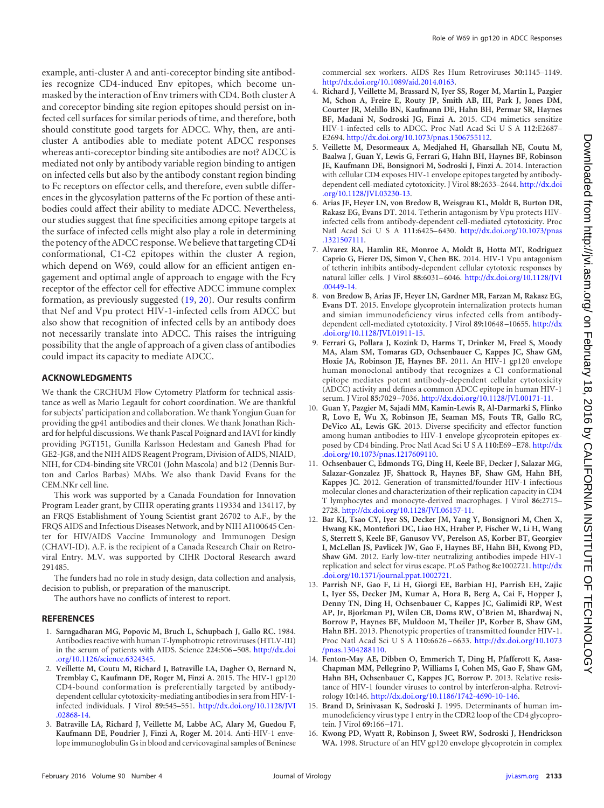example, anti-cluster A and anti-coreceptor binding site antibodies recognize CD4-induced Env epitopes, which become unmasked by the interaction of Env trimers with CD4. Both cluster A and coreceptor binding site region epitopes should persist on infected cell surfaces for similar periods of time, and therefore, both should constitute good targets for ADCC. Why, then, are anticluster A antibodies able to mediate potent ADCC responses whereas anti-coreceptor binding site antibodies are not? ADCC is mediated not only by antibody variable region binding to antigen on infected cells but also by the antibody constant region binding to Fc receptors on effector cells, and therefore, even subtle differences in the glycosylation patterns of the Fc portion of these antibodies could affect their ability to mediate ADCC. Nevertheless, our studies suggest that fine specificities among epitope targets at the surface of infected cells might also play a role in determining the potency of the ADCC response.We believe that targeting CD4i conformational, C1-C2 epitopes within the cluster A region, which depend on W69, could allow for an efficient antigen engagement and optimal angle of approach to engage with the Fc receptor of the effector cell for effective ADCC immune complex formation, as previously suggested [\(19,](#page-7-2) [20\)](#page-7-3). Our results confirm that Nef and Vpu protect HIV-1-infected cells from ADCC but also show that recognition of infected cells by an antibody does not necessarily translate into ADCC. This raises the intriguing possibility that the angle of approach of a given class of antibodies could impact its capacity to mediate ADCC.

## **ACKNOWLEDGMENTS**

We thank the CRCHUM Flow Cytometry Platform for technical assistance as well as Mario Legault for cohort coordination. We are thankful for subjects' participation and collaboration. We thank Yongjun Guan for providing the gp41 antibodies and their clones. We thank Jonathan Richard for helpful discussions. We thank Pascal Poignard and IAVI for kindly providing PGT151, Gunilla Karlsson Hedestam and Ganesh Phad for GE2-JG8, and the NIH AIDS Reagent Program, Division of AIDS, NIAID, NIH, for CD4-binding site VRC01 (John Mascola) and b12 (Dennis Burton and Carlos Barbas) MAbs. We also thank David Evans for the CEM.NKr cell line.

This work was supported by a Canada Foundation for Innovation Program Leader grant, by CIHR operating grants 119334 and 134117, by an FRQS Establishment of Young Scientist grant 26702 to A.F., by the FRQS AIDS and Infectious Diseases Network, and by NIH AI100645 Center for HIV/AIDS Vaccine Immunology and Immunogen Design (CHAVI-ID). A.F. is the recipient of a Canada Research Chair on Retroviral Entry. M.V. was supported by CIHR Doctoral Research award 291485.

The funders had no role in study design, data collection and analysis, decision to publish, or preparation of the manuscript.

The authors have no conflicts of interest to report.

## <span id="page-6-0"></span>**REFERENCES**

- 1. **Sarngadharan MG, Popovic M, Bruch L, Schupbach J, Gallo RC.** 1984. Antibodies reactive with human T-lymphotropic retroviruses (HTLV-III) in the serum of patients with AIDS. Science **224:**506 –508. [http://dx.doi](http://dx.doi.org/10.1126/science.6324345) [.org/10.1126/science.6324345.](http://dx.doi.org/10.1126/science.6324345)
- <span id="page-6-1"></span>2. **Veillette M, Coutu M, Richard J, Batraville LA, Dagher O, Bernard N, Tremblay C, Kaufmann DE, Roger M, Finzi A.** 2015. The HIV-1 gp120 CD4-bound conformation is preferentially targeted by antibodydependent cellular cytotoxicity-mediating antibodies in sera from HIV-1 infected individuals. J Virol **89:**545–551. [http://dx.doi.org/10.1128/JVI](http://dx.doi.org/10.1128/JVI.02868-14) [.02868-14.](http://dx.doi.org/10.1128/JVI.02868-14)
- <span id="page-6-2"></span>3. **Batraville LA, Richard J, Veillette M, Labbe AC, Alary M, Guedou F, Kaufmann DE, Poudrier J, Finzi A, Roger M.** 2014. Anti-HIV-1 envelope immunoglobulin Gs in blood and cervicovaginal samples of Beninese

commercial sex workers. AIDS Res Hum Retroviruses **30:**1145–1149. [http://dx.doi.org/10.1089/aid.2014.0163.](http://dx.doi.org/10.1089/aid.2014.0163)

- <span id="page-6-3"></span>4. **Richard J, Veillette M, Brassard N, Iyer SS, Roger M, Martin L, Pazgier M, Schon A, Freire E, Routy JP, Smith AB, III, Park J, Jones DM, Courter JR, Melillo BN, Kaufmann DE, Hahn BH, Permar SR, Haynes BF, Madani N, Sodroski JG, Finzi A.** 2015. CD4 mimetics sensitize HIV-1-infected cells to ADCC. Proc Natl Acad Sci U S A **112:**E2687– E2694. [http://dx.doi.org/10.1073/pnas.1506755112.](http://dx.doi.org/10.1073/pnas.1506755112)
- <span id="page-6-4"></span>5. **Veillette M, Desormeaux A, Medjahed H, Gharsallah NE, Coutu M, Baalwa J, Guan Y, Lewis G, Ferrari G, Hahn BH, Haynes BF, Robinson JE, Kaufmann DE, Bonsignori M, Sodroski J, Finzi A.** 2014. Interaction with cellular CD4 exposes HIV-1 envelope epitopes targeted by antibodydependent cell-mediated cytotoxicity. J Virol **88:**2633–2644. [http://dx.doi](http://dx.doi.org/10.1128/JVI.03230-13) [.org/10.1128/JVI.03230-13.](http://dx.doi.org/10.1128/JVI.03230-13)
- <span id="page-6-5"></span>6. **Arias JF, Heyer LN, von Bredow B, Weisgrau KL, Moldt B, Burton DR, Rakasz EG, Evans DT.** 2014. Tetherin antagonism by Vpu protects HIVinfected cells from antibody-dependent cell-mediated cytotoxicity. Proc Natl Acad Sci U S A 111:6425-6430. [http://dx.doi.org/10.1073/pnas](http://dx.doi.org/10.1073/pnas.1321507111) [.1321507111.](http://dx.doi.org/10.1073/pnas.1321507111)
- <span id="page-6-6"></span>7. **Alvarez RA, Hamlin RE, Monroe A, Moldt B, Hotta MT, Rodriguez Caprio G, Fierer DS, Simon V, Chen BK.** 2014. HIV-1 Vpu antagonism of tetherin inhibits antibody-dependent cellular cytotoxic responses by natural killer cells. J Virol **88:**6031–6046. [http://dx.doi.org/10.1128/JVI](http://dx.doi.org/10.1128/JVI.00449-14) [.00449-14.](http://dx.doi.org/10.1128/JVI.00449-14)
- <span id="page-6-7"></span>8. **von Bredow B, Arias JF, Heyer LN, Gardner MR, Farzan M, Rakasz EG, Evans DT.** 2015. Envelope glycoprotein internalization protects human and simian immunodeficiency virus infected cells from antibodydependent cell-mediated cytotoxicity. J Virol **89:**10648 –10655. [http://dx](http://dx.doi.org/10.1128/JVI.01911-15) [.doi.org/10.1128/JVI.01911-15.](http://dx.doi.org/10.1128/JVI.01911-15)
- <span id="page-6-8"></span>9. **Ferrari G, Pollara J, Kozink D, Harms T, Drinker M, Freel S, Moody MA, Alam SM, Tomaras GD, Ochsenbauer C, Kappes JC, Shaw GM, Hoxie JA, Robinson JE, Haynes BF.** 2011. An HIV-1 gp120 envelope human monoclonal antibody that recognizes a C1 conformational epitope mediates potent antibody-dependent cellular cytotoxicity (ADCC) activity and defines a common ADCC epitope in human HIV-1 serum. J Virol **85:**7029 –7036. [http://dx.doi.org/10.1128/JVI.00171-11.](http://dx.doi.org/10.1128/JVI.00171-11)
- <span id="page-6-9"></span>10. **Guan Y, Pazgier M, Sajadi MM, Kamin-Lewis R, Al-Darmarki S, Flinko R, Lovo E, Wu X, Robinson JE, Seaman MS, Fouts TR, Gallo RC, DeVico AL, Lewis GK.** 2013. Diverse specificity and effector function among human antibodies to HIV-1 envelope glycoprotein epitopes exposed by CD4 binding. Proc Natl Acad SciUSA **110:**E69 –E78. [http://dx](http://dx.doi.org/10.1073/pnas.1217609110) [.doi.org/10.1073/pnas.1217609110.](http://dx.doi.org/10.1073/pnas.1217609110)
- <span id="page-6-10"></span>11. **Ochsenbauer C, Edmonds TG, Ding H, Keele BF, Decker J, Salazar MG, Salazar-Gonzalez JF, Shattock R, Haynes BF, Shaw GM, Hahn BH, Kappes JC.** 2012. Generation of transmitted/founder HIV-1 infectious molecular clones and characterization of their replication capacity in CD4 T lymphocytes and monocyte-derived macrophages. J Virol **86:**2715– 2728. [http://dx.doi.org/10.1128/JVI.06157-11.](http://dx.doi.org/10.1128/JVI.06157-11)
- 12. **Bar KJ, Tsao CY, Iyer SS, Decker JM, Yang Y, Bonsignori M, Chen X, Hwang KK, Montefiori DC, Liao HX, Hraber P, Fischer W, Li H, Wang S, Sterrett S, Keele BF, Ganusov VV, Perelson AS, Korber BT, Georgiev I, McLellan JS, Pavlicek JW, Gao F, Haynes BF, Hahn BH, Kwong PD, Shaw GM.** 2012. Early low-titer neutralizing antibodies impede HIV-1 replication and select for virus escape. PLoS Pathog **8:**e1002721. [http://dx](http://dx.doi.org/10.1371/journal.ppat.1002721) [.doi.org/10.1371/journal.ppat.1002721.](http://dx.doi.org/10.1371/journal.ppat.1002721)
- <span id="page-6-11"></span>13. **Parrish NF, Gao F, Li H, Giorgi EE, Barbian HJ, Parrish EH, Zajic L, Iyer SS, Decker JM, Kumar A, Hora B, Berg A, Cai F, Hopper J, Denny TN, Ding H, Ochsenbauer C, Kappes JC, Galimidi RP, West AP, Jr, Bjorkman PJ, Wilen CB, Doms RW, O'Brien M, Bhardwaj N, Borrow P, Haynes BF, Muldoon M, Theiler JP, Korber B, Shaw GM, Hahn BH.** 2013. Phenotypic properties of transmitted founder HIV-1. Proc Natl Acad SciUSA **110:**6626 –6633. [http://dx.doi.org/10.1073](http://dx.doi.org/10.1073/pnas.1304288110) [/pnas.1304288110.](http://dx.doi.org/10.1073/pnas.1304288110)
- <span id="page-6-12"></span>14. **Fenton-May AE, Dibben O, Emmerich T, Ding H, Pfafferott K, Aasa-Chapman MM, Pellegrino P, Williams I, Cohen MS, Gao F, Shaw GM, Hahn BH, Ochsenbauer C, Kappes JC, Borrow P.** 2013. Relative resistance of HIV-1 founder viruses to control by interferon-alpha. Retrovirology **10:**146. [http://dx.doi.org/10.1186/1742-4690-10-146.](http://dx.doi.org/10.1186/1742-4690-10-146)
- <span id="page-6-14"></span><span id="page-6-13"></span>15. **Brand D, Srinivasan K, Sodroski J.** 1995. Determinants of human immunodeficiency virus type 1 entry in the CDR2 loop of the CD4 glycoprotein. J Virol **69:**166 –171.
- 16. **Kwong PD, Wyatt R, Robinson J, Sweet RW, Sodroski J, Hendrickson WA.** 1998. Structure of an HIV gp120 envelope glycoprotein in complex